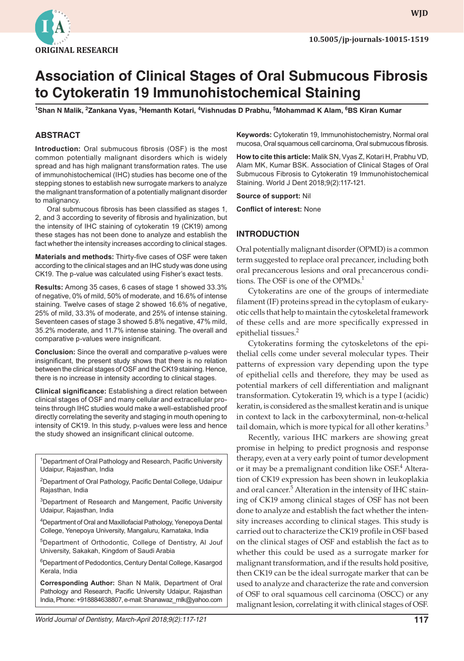

**wjd WJD**

# **Association of Clinical Stages of Oral Submucous Fibrosis to Cytokeratin 19 Immunohistochemical Staining**

<sup>1</sup>Shan N Malik, <sup>2</sup>Zankana Vyas, <sup>3</sup>Hemanth Kotari, <sup>4</sup>Vishnudas D Prabhu, <sup>5</sup>Mohammad K Alam, <sup>6</sup>BS Kiran Kumar

## **ABSTRACT**

**Introduction:** Oral submucous fibrosis (OSF) is the most common potentially malignant disorders which is widely spread and has high malignant transformation rates. The use of immunohistochemical (IHC) studies has become one of the stepping stones to establish new surrogate markers to analyze the malignant transformation of a potentially malignant disorder to malignancy.

Oral submucous fibrosis has been classified as stages 1, 2, and 3 according to severity of fibrosis and hyalinization, but the intensity of IHC staining of cytokeratin 19 (CK19) among these stages has not been done to analyze and establish the fact whether the intensity increases according to clinical stages.

**Materials and methods:** Thirty-five cases of OSF were taken according to the clinical stages and an IHC study was done using CK19. The p-value was calculated using Fisher's exact tests.

**Results:** Among 35 cases, 6 cases of stage 1 showed 33.3% of negative, 0% of mild, 50% of moderate, and 16.6% of intense staining. Twelve cases of stage 2 showed 16.6% of negative, 25% of mild, 33.3% of moderate, and 25% of intense staining. Seventeen cases of stage 3 showed 5.8% negative, 47% mild, 35.2% moderate, and 11.7% intense staining. The overall and comparative p-values were insignificant.

**Conclusion:** Since the overall and comparative p-values were insignificant, the present study shows that there is no relation between the clinical stages of OSF and the CK19 staining. Hence, there is no increase in intensity according to clinical stages.

**Clinical significance:** Establishing a direct relation between clinical stages of OSF and many cellular and extracellular proteins through IHC studies would make a well-established proof directly correlating the severity and staging in mouth opening to intensity of CK19. In this study, p-values were less and hence the study showed an insignificant clinical outcome.

<sup>1</sup> Department of Oral Pathology and Research, Pacific University Udaipur, Rajasthan, India

<sup>2</sup>Department of Oral Pathology, Pacific Dental College, Udaipur Rajasthan, India

<sup>3</sup>Department of Research and Mangement, Pacific University Udaipur, Rajasthan, India

4 Department of Oral and Maxillofacial Pathology, Yenepoya Dental College, Yenepoya University, Mangaluru, Karnataka, India

5Department of Orthodontic, College of Dentistry, Al Jouf University, Sakakah, Kingdom of Saudi Arabia

6 Department of Pedodontics,Century Dental College, Kasargod Kerala, India

**Corresponding Author:** Shan N Malik, Department of Oral Pathology and Research, Pacific University Udaipur, Rajasthan India, Phone: +918884638807, e-mail: Shanawaz\_mlk@yahoo.com **Keywords:** Cytokeratin 19, Immunohistochemistry, Normal oral mucosa, Oral squamous cell carcinoma, Oral submucous fibrosis.

**How to cite this article:** Malik SN, Vyas Z, Kotari H, Prabhu VD, Alam MK, Kumar BSK. Association of Clinical Stages of Oral Submucous Fibrosis to Cytokeratin 19 Immunohistochemical Staining. World J Dent 2018;9(2):117-121.

**Source of support:** Nil

**Conflict of interest:** None

#### **INTRODUCTION**

Oral potentially malignant disorder (OPMD) is a common term suggested to replace oral precancer, including both oral precancerous lesions and oral precancerous conditions. The OSF is one of the OPMDs.<sup>1</sup>

Cytokeratins are one of the groups of intermediate filament (IF) proteins spread in the cytoplasm of eukaryotic cells that help to maintain the cytoskeletal framework of these cells and are more specifically expressed in epithelial tissues.<sup>2</sup>

Cytokeratins forming the cytoskeletons of the epithelial cells come under several molecular types. Their patterns of expression vary depending upon the type of epithelial cells and therefore, they may be used as potential markers of cell differentiation and malignant transformation. Cytokeratin 19, which is a type I (acidic) keratin, is considered as the smallest keratin and is unique in context to lack in the carboxyterminal, non-α-helical tail domain, which is more typical for all other keratins. $3$ 

Recently, various IHC markers are showing great promise in helping to predict prognosis and response therapy, even at a very early point of tumor development or it may be a premalignant condition like OSF.<sup>4</sup> Alteration of CK19 expression has been shown in leukoplakia and oral cancer.<sup>5</sup> Alteration in the intensity of IHC staining of CK19 among clinical stages of OSF has not been done to analyze and establish the fact whether the intensity increases according to clinical stages. This study is carried out to characterize the CK19 profile in OSF based on the clinical stages of OSF and establish the fact as to whether this could be used as a surrogate marker for malignant transformation, and if the results hold positive, then CK19 can be the ideal surrogate marker that can be used to analyze and characterize the rate and conversion of OSF to oral squamous cell carcinoma (OSCC) or any malignant lesion, correlating it with clinical stages of OSF.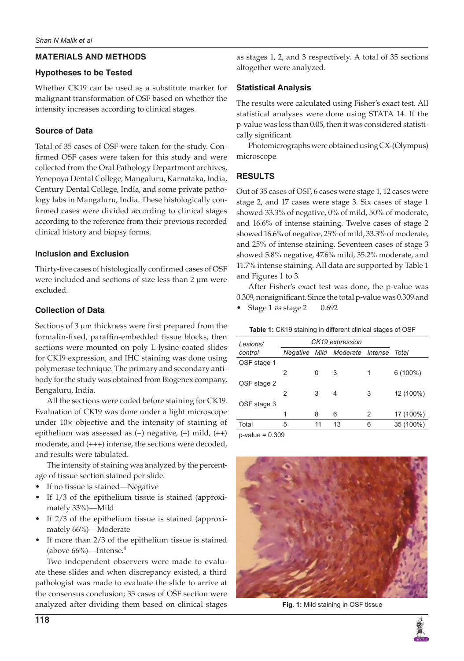## **MATERIALS AND METHODS**

## **Hypotheses to be Tested**

Whether CK19 can be used as a substitute marker for malignant transformation of OSF based on whether the intensity increases according to clinical stages.

# **Source of Data**

Total of 35 cases of OSF were taken for the study. Confirmed OSF cases were taken for this study and were collected from the Oral Pathology Department archives, Yenepoya Dental College, Mangaluru, Karnataka, India, Century Dental College, India, and some private pathology labs in Mangaluru, India. These histologically confirmed cases were divided according to clinical stages according to the reference from their previous recorded clinical history and biopsy forms.

## **Inclusion and Exclusion**

Thirty-five cases of histologically confirmed cases of OSF were included and sections of size less than 2 µm were excluded.

# **Collection of Data**

Sections of 3  $\mu$ m thickness were first prepared from the formalin-fixed, paraffin-embedded tissue blocks, then sections were mounted on poly L-lysine-coated slides for CK19 expression, and IHC staining was done using polymerase technique. The primary and secondary antibody for the study was obtained from Biogenex company, Bengaluru, India.

All the sections were coded before staining for CK19. Evaluation of CK19 was done under a light microscope under 10× objective and the intensity of staining of epithelium was assessed as (−) negative, (+) mild, (++) moderate, and (+++) intense, the sections were decoded, and results were tabulated.

The intensity of staining was analyzed by the percentage of tissue section stained per slide.

- If no tissue is stained—Negative
- If 1/3 of the epithelium tissue is stained (approximately 33%)—Mild
- If  $2/3$  of the epithelium tissue is stained (approximately 66%)—Moderate
- If more than  $2/3$  of the epithelium tissue is stained (above  $66\%$ )—Intense.<sup>4</sup>

Two independent observers were made to evaluate these slides and when discrepancy existed, a third pathologist was made to evaluate the slide to arrive at the consensus conclusion; 35 cases of OSF section were analyzed after dividing them based on clinical stages as stages 1, 2, and 3 respectively. A total of 35 sections altogether were analyzed.

# **Statistical Analysis**

The results were calculated using Fisher's exact test. All statistical analyses were done using STATA 14. If the p-value was less than 0.05, then it was considered statistically significant.

Photomicrographs were obtained using CX-(Olympus) microscope.

# **RESULTS**

Out of 35 cases of OSF, 6 cases were stage 1, 12 cases were stage 2, and 17 cases were stage 3. Six cases of stage 1 showed 33.3% of negative, 0% of mild, 50% of moderate, and 16.6% of intense staining. Twelve cases of stage 2 showed 16.6% of negative, 25% of mild, 33.3% of moderate, and 25% of intense staining. Seventeen cases of stage 3 showed 5.8% negative, 47.6% mild, 35.2% moderate, and 11.7% intense staining. All data are supported by Table 1 and Figures 1 to 3.

After Fisher's exact test was done, the p-value was 0.309, nonsignificant. Since the total p-value was 0.309 and

• Stage 1 *vs* stage 2 0.692

|  | <b>Table 1: CK19 staining in different clinical stages of OSF</b> |
|--|-------------------------------------------------------------------|
|--|-------------------------------------------------------------------|

| Lesions/    | CK19 expression |    |                                |   |            |  |  |
|-------------|-----------------|----|--------------------------------|---|------------|--|--|
| control     |                 |    | Negative Mild Moderate Intense |   | Total      |  |  |
| OSF stage 1 |                 |    |                                |   |            |  |  |
|             | 2               | 0  | 3                              | 1 | $6(100\%)$ |  |  |
| OSF stage 2 |                 |    |                                |   |            |  |  |
|             | $\mathfrak{p}$  | 3  | 4                              | 3 | 12 (100%)  |  |  |
| OSF stage 3 |                 |    |                                |   |            |  |  |
|             | 1               | 8  | 6                              | 2 | 17 (100%)  |  |  |
| Total       | 5               | 11 | 13                             | 6 | 35 (100%)  |  |  |
|             |                 |    |                                |   |            |  |  |

p-value = 0.309



**Fig. 1:** Mild staining in OSF tissue

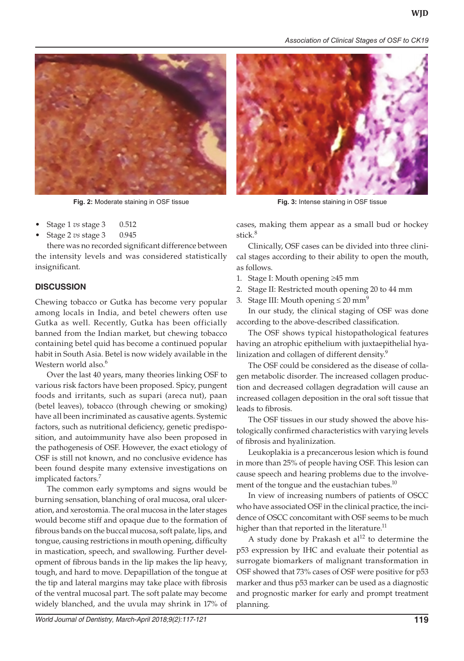*Association of Clinical Stages of OSF to CK19*



**Fig. 2:** Moderate staining in OSF tissue **Fig. 3:** Intense staining in OSF tissue

- • Stage 1 *vs* stage 3 0.512
- • Stage 2 *vs* stage 3 0.945

there was no recorded significant difference between the intensity levels and was considered statistically insignificant.

# **DISCUSSION**

Chewing tobacco or Gutka has become very popular among locals in India, and betel chewers often use Gutka as well. Recently, Gutka has been officially banned from the Indian market, but chewing tobacco containing betel quid has become a continued popular habit in South Asia. Betel is now widely available in the Western world also.<sup>6</sup>

Over the last 40 years, many theories linking OSF to various risk factors have been proposed. Spicy, pungent foods and irritants, such as supari (areca nut), paan (betel leaves), tobacco (through chewing or smoking) have all been incriminated as causative agents. Systemic factors, such as nutritional deficiency, genetic predisposition, and autoimmunity have also been proposed in the pathogenesis of OSF. However, the exact etiology of OSF is still not known, and no conclusive evidence has been found despite many extensive investigations on implicated factors.<sup>7</sup>

The common early symptoms and signs would be burning sensation, blanching of oral mucosa, oral ulceration, and xerostomia. The oral mucosa in the later stages would become stiff and opaque due to the formation of fibrous bands on the buccal mucosa, soft palate, lips, and tongue, causing restrictions in mouth opening, difficulty in mastication, speech, and swallowing. Further development of fibrous bands in the lip makes the lip heavy, tough, and hard to move. Depapillation of the tongue at the tip and lateral margins may take place with fibrosis of the ventral mucosal part. The soft palate may become widely blanched, and the uvula may shrink in 17% of



cases, making them appear as a small bud or hockey stick.<sup>8</sup>

Clinically, OSF cases can be divided into three clinical stages according to their ability to open the mouth, as follows.

- 1. Stage I: Mouth opening ≥45 mm
- 2. Stage II: Restricted mouth opening 20 to 44 mm
- 3. Stage III: Mouth opening  $\leq 20$  mm<sup>9</sup>

In our study, the clinical staging of OSF was done according to the above-described classification.

The OSF shows typical histopathological features having an atrophic epithelium with juxtaepithelial hyalinization and collagen of different density.<sup>9</sup>

The OSF could be considered as the disease of collagen metabolic disorder. The increased collagen production and decreased collagen degradation will cause an increased collagen deposition in the oral soft tissue that leads to fibrosis.

The OSF tissues in our study showed the above histologically confirmed characteristics with varying levels of fibrosis and hyalinization.

Leukoplakia is a precancerous lesion which is found in more than 25% of people having OSF. This lesion can cause speech and hearing problems due to the involvement of the tongue and the eustachian tubes. $^{10}$ 

In view of increasing numbers of patients of OSCC who have associated OSF in the clinical practice, the incidence of OSCC concomitant with OSF seems to be much higher than that reported in the literature.<sup>11</sup>

A study done by Prakash et  $al<sup>12</sup>$  to determine the p53 expression by IHC and evaluate their potential as surrogate biomarkers of malignant transformation in OSF showed that 73% cases of OSF were positive for p53 marker and thus p53 marker can be used as a diagnostic and prognostic marker for early and prompt treatment planning.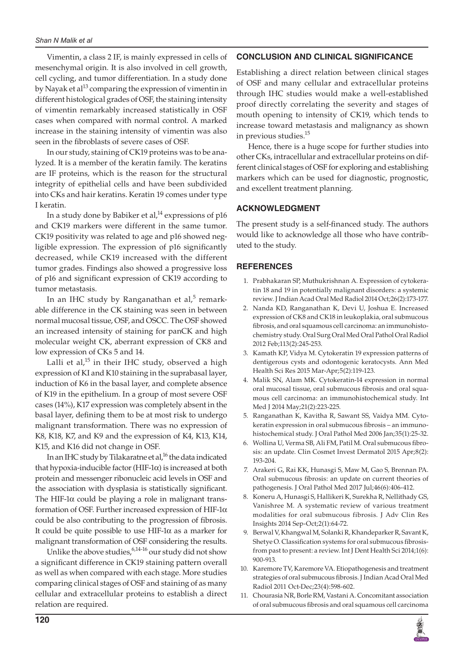Vimentin, a class 2 IF, is mainly expressed in cells of mesenchymal origin. It is also involved in cell growth, cell cycling, and tumor differentiation. In a study done by Nayak et al<sup>13</sup> comparing the expression of vimentin in different histological grades of OSF, the staining intensity of vimentin remarkably increased statistically in OSF cases when compared with normal control. A marked increase in the staining intensity of vimentin was also seen in the fibroblasts of severe cases of OSF.

In our study, staining of CK19 proteins was to be analyzed. It is a member of the keratin family. The keratins are IF proteins, which is the reason for the structural integrity of epithelial cells and have been subdivided into CKs and hair keratins. Keratin 19 comes under type I keratin.

In a study done by Babiker et al,<sup>14</sup> expressions of p16 and CK19 markers were different in the same tumor. CK19 positivity was related to age and p16 showed negligible expression. The expression of p16 significantly decreased, while CK19 increased with the different tumor grades. Findings also showed a progressive loss of p16 and significant expression of CK19 according to tumor metastasis.

In an IHC study by Ranganathan et al,<sup>5</sup> remarkable difference in the CK staining was seen in between normal mucosal tissue, OSF, and OSCC. The OSF showed an increased intensity of staining for panCK and high molecular weight CK, aberrant expression of CK8 and low expression of CKs 5 and 14.

Lalli et al, $15$  in their IHC study, observed a high expression of KI and K10 staining in the suprabasal layer, induction of K6 in the basal layer, and complete absence of K19 in the epithelium. In a group of most severe OSF cases (14%), K17 expression was completely absent in the basal layer, defining them to be at most risk to undergo malignant transformation. There was no expression of K8, K18, K7, and K9 and the expression of K4, K13, K14, K15, and K16 did not change in OSF.

In an IHC study by Tilakaratne et al, $^{16}$  the data indicated that hypoxia-inducible factor (HIF-1α) is increased at both protein and messenger ribonucleic acid levels in OSF and the association with dysplasia is statistically significant. The HIF-1 $\alpha$  could be playing a role in malignant transformation of OSF. Further increased expression of HIF-1α could be also contributing to the progression of fibrosis. It could be quite possible to use HIF-1 $\alpha$  as a marker for malignant transformation of OSF considering the results.

Unlike the above studies,  $6,14$ -16 our study did not show a significant difference in CK19 staining pattern overall as well as when compared with each stage. More studies comparing clinical stages of OSF and staining of as many cellular and extracellular proteins to establish a direct relation are required.

#### **CONCLUSION AND CLINICAL SIGNIFICANCE**

Establishing a direct relation between clinical stages of OSF and many cellular and extracellular proteins through IHC studies would make a well-established proof directly correlating the severity and stages of mouth opening to intensity of CK19, which tends to increase toward metastasis and malignancy as shown in previous studies.15

Hence, there is a huge scope for further studies into other CKs, intracellular and extracellular proteins on different clinical stages of OSF for exploring and establishing markers which can be used for diagnostic, prognostic, and excellent treatment planning.

#### **ACKNOWLEDGMENT**

The present study is a self-financed study. The authors would like to acknowledge all those who have contributed to the study.

#### **REFERENCES**

- 1. Prabhakaran SP, Muthukrishnan A. Expression of cytokeratin 18 and 19 in potentially malignant disorders: a systemic review. J Indian Acad Oral Med Radiol 2014 Oct;26(2):173-177.
- 2. Nanda KD, Ranganathan K, Devi U, Joshua E. Increased expression of CK8 and CK18 in leukoplakia, oral submucous fibrosis, and oral squamous cell carcinoma: an immunohistochemistry study. Oral Surg Oral Med Oral Pathol Oral Radiol 2012 Feb;113(2):245-253.
- 3. Kamath KP, Vidya M. Cytokeratin 19 expression patterns of dentigerous cysts and odontogenic keratocysts. Ann Med Health Sci Res 2015 Mar-Apr;5(2):119-123.
- 4. Malik SN, Alam MK. Cytokeratin-14 expression in normal oral mucosal tissue, oral submucous fibrosis and oral squamous cell carcinoma: an immunohistochemical study. Int Med J 2014 May;21(2):223-225.
- 5. Ranganathan K, Kavitha R, Sawant SS, Vaidya MM. Cytokeratin expression in oral submucous fibrosis – an immunohistochemical study. J Oral Pathol Med 2006 Jan;35(1):25-32.
- 6. Wollina U, Verma SB, Ali FM, Patil M. Oral submucous fibrosis: an update. Clin Cosmet Invest Dermatol 2015 Apr;8(2): 193-204.
- 7. Arakeri G, Rai KK, Hunasgi S, Maw M, Gao S, Brennan PA. Oral submucous fibrosis: an update on current theories of pathogenesis. J Oral Pathol Med 2017 Jul;46(6):406-412.
- 8. Koneru A, Hunasgi S, Hallikeri K, Surekha R, Nellithady GS, Vanishree M. A systematic review of various treatment modalities for oral submucous fibrosis. J Adv Clin Res Insights 2014 Sep-Oct;2(1):64-72.
- 9. Berwal V, Khangwal M, Solanki R, Khandeparker R, Savant K, Shetye O. Classification systems for oral submucous fibrosisfrom past to present: a review. Int J Dent Health Sci 2014;1(6): 900-913.
- 10. Karemore TV, Karemore VA. Etiopathogenesis and treatment strategies of oral submucous fibrosis. J Indian Acad Oral Med Radiol 2011 Oct-Dec;23(4):598-602.
- 11. Chourasia NR, Borle RM, Vastani A. Concomitant association of oral submucous fibrosis and oral squamous cell carcinoma